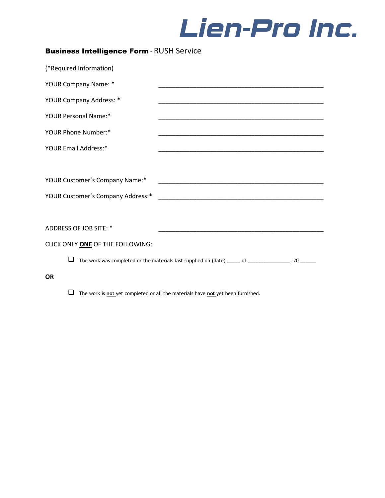

| <b>Business Intelligence Form - RUSH Service</b> |                                                                                                                       |  |
|--------------------------------------------------|-----------------------------------------------------------------------------------------------------------------------|--|
| (*Required Information)                          |                                                                                                                       |  |
| YOUR Company Name: *                             | <u> 1989 - Johann John Stoff, deutscher Stoffen und der Stoffen und der Stoffen und der Stoffen und der Stoffen u</u> |  |
| YOUR Company Address: *                          |                                                                                                                       |  |
| YOUR Personal Name:*                             |                                                                                                                       |  |
| YOUR Phone Number:*                              |                                                                                                                       |  |
| YOUR Email Address:*                             |                                                                                                                       |  |
|                                                  |                                                                                                                       |  |
|                                                  |                                                                                                                       |  |
|                                                  |                                                                                                                       |  |
|                                                  |                                                                                                                       |  |
| ADDRESS OF JOB SITE: *                           |                                                                                                                       |  |
| CLICK ONLY ONE OF THE FOLLOWING:                 |                                                                                                                       |  |
|                                                  | The work was completed or the materials last supplied on (date) _____ of ________________, 20 ______                  |  |
| <b>OR</b>                                        |                                                                                                                       |  |

The work is **not** yet completed or all the materials have **not** yet been furnished.